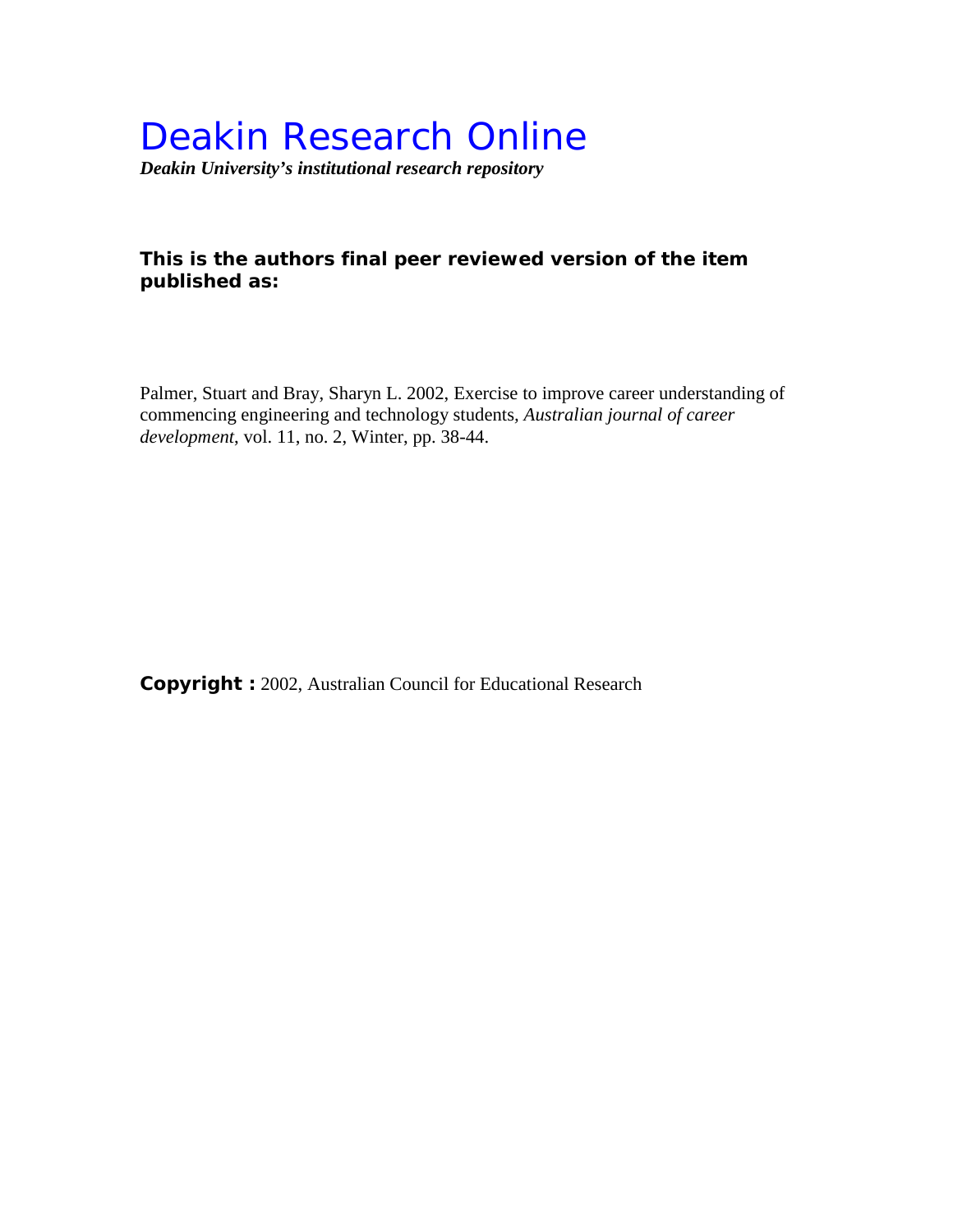# Deakin Research Online

*Deakin University's institutional research repository*

# **This is the authors final peer reviewed version of the item published as:**

Palmer, Stuart and Bray, Sharyn L. 2002, Exercise to improve career understanding of commencing engineering and technology students*, Australian journal of career development*, vol. 11, no. 2, Winter, pp. 38-44.

**Copyright :** 2002, Australian Council for Educational Research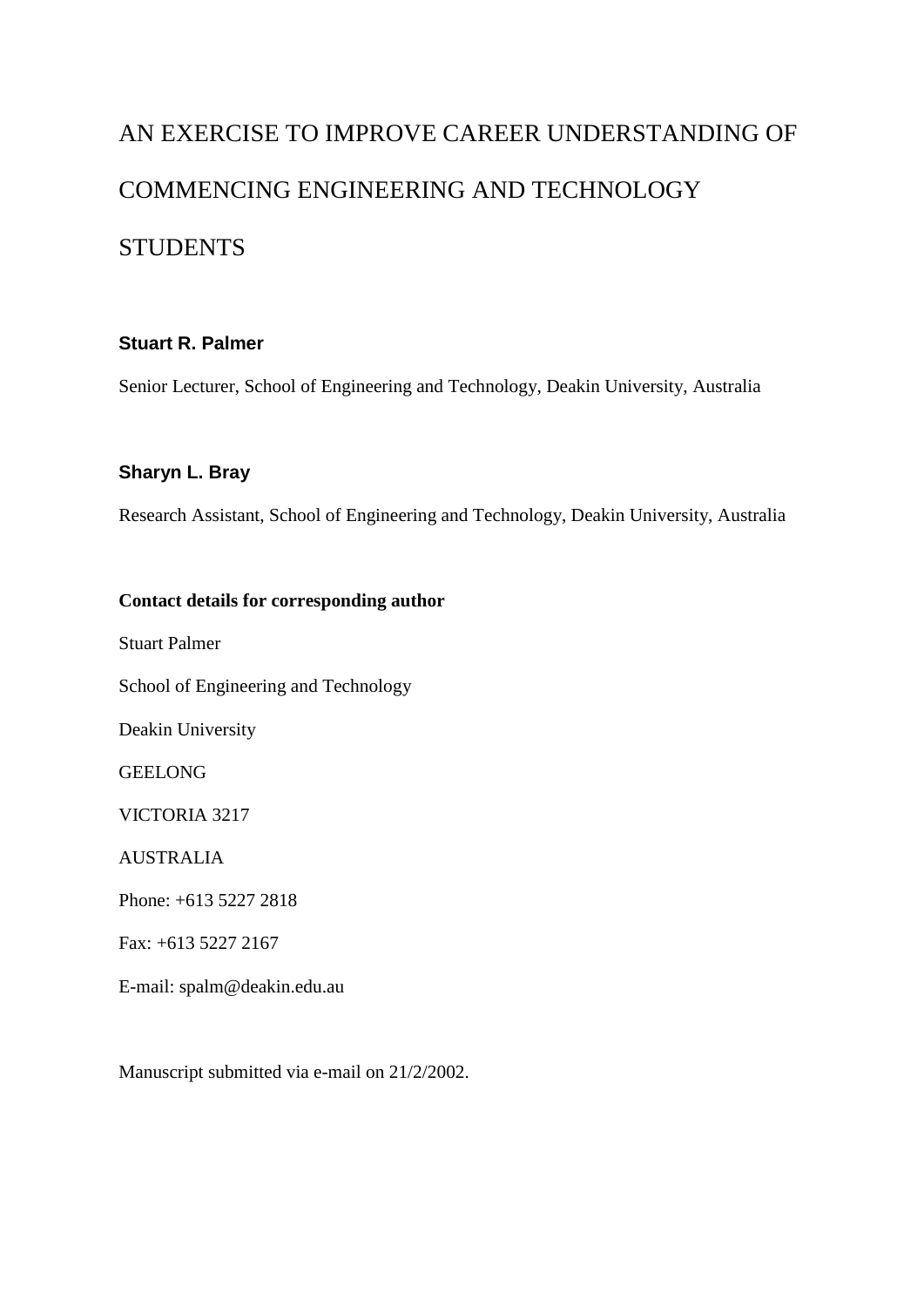# AN EXERCISE TO IMPROVE CAREER UNDERSTANDING OF COMMENCING ENGINEERING AND TECHNOLOGY **STUDENTS**

# **Stuart R. Palmer**

Senior Lecturer, School of Engineering and Technology, Deakin University, Australia

## **Sharyn L. Bray**

Research Assistant, School of Engineering and Technology, Deakin University, Australia

## **Contact details for corresponding author**

Stuart Palmer

School of Engineering and Technology

Deakin University

**GEELONG** 

VICTORIA 3217

AUSTRALIA

Phone: +613 5227 2818

Fax: +613 5227 2167

E-mail: spalm@deakin.edu.au

Manuscript submitted via e-mail on 21/2/2002.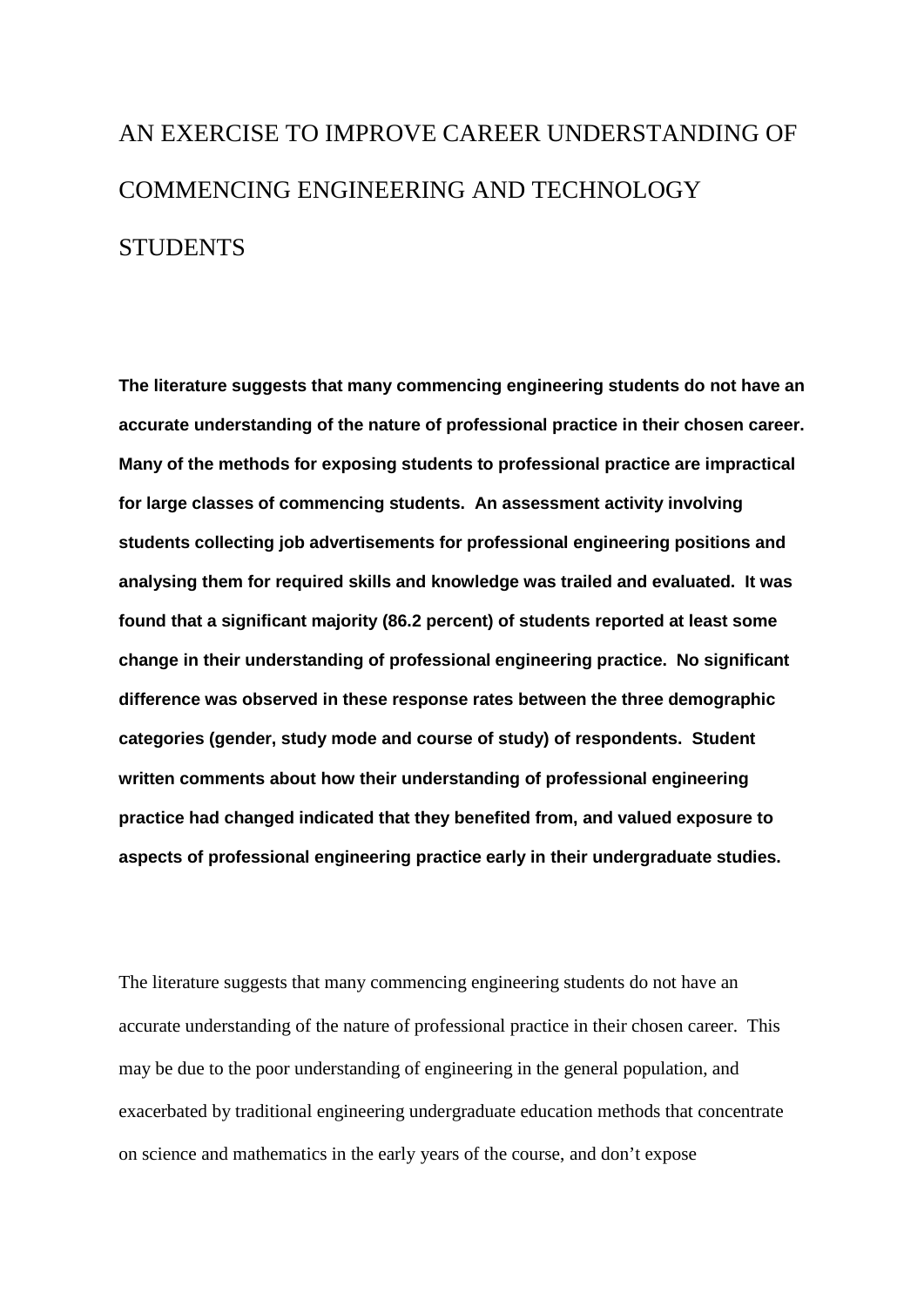# AN EXERCISE TO IMPROVE CAREER UNDERSTANDING OF COMMENCING ENGINEERING AND TECHNOLOGY **STUDENTS**

**The literature suggests that many commencing engineering students do not have an accurate understanding of the nature of professional practice in their chosen career. Many of the methods for exposing students to professional practice are impractical for large classes of commencing students. An assessment activity involving students collecting job advertisements for professional engineering positions and analysing them for required skills and knowledge was trailed and evaluated. It was found that a significant majority (86.2 percent) of students reported at least some change in their understanding of professional engineering practice. No significant difference was observed in these response rates between the three demographic categories (gender, study mode and course of study) of respondents. Student written comments about how their understanding of professional engineering practice had changed indicated that they benefited from, and valued exposure to aspects of professional engineering practice early in their undergraduate studies.**

The literature suggests that many commencing engineering students do not have an accurate understanding of the nature of professional practice in their chosen career. This may be due to the poor understanding of engineering in the general population, and exacerbated by traditional engineering undergraduate education methods that concentrate on science and mathematics in the early years of the course, and don't expose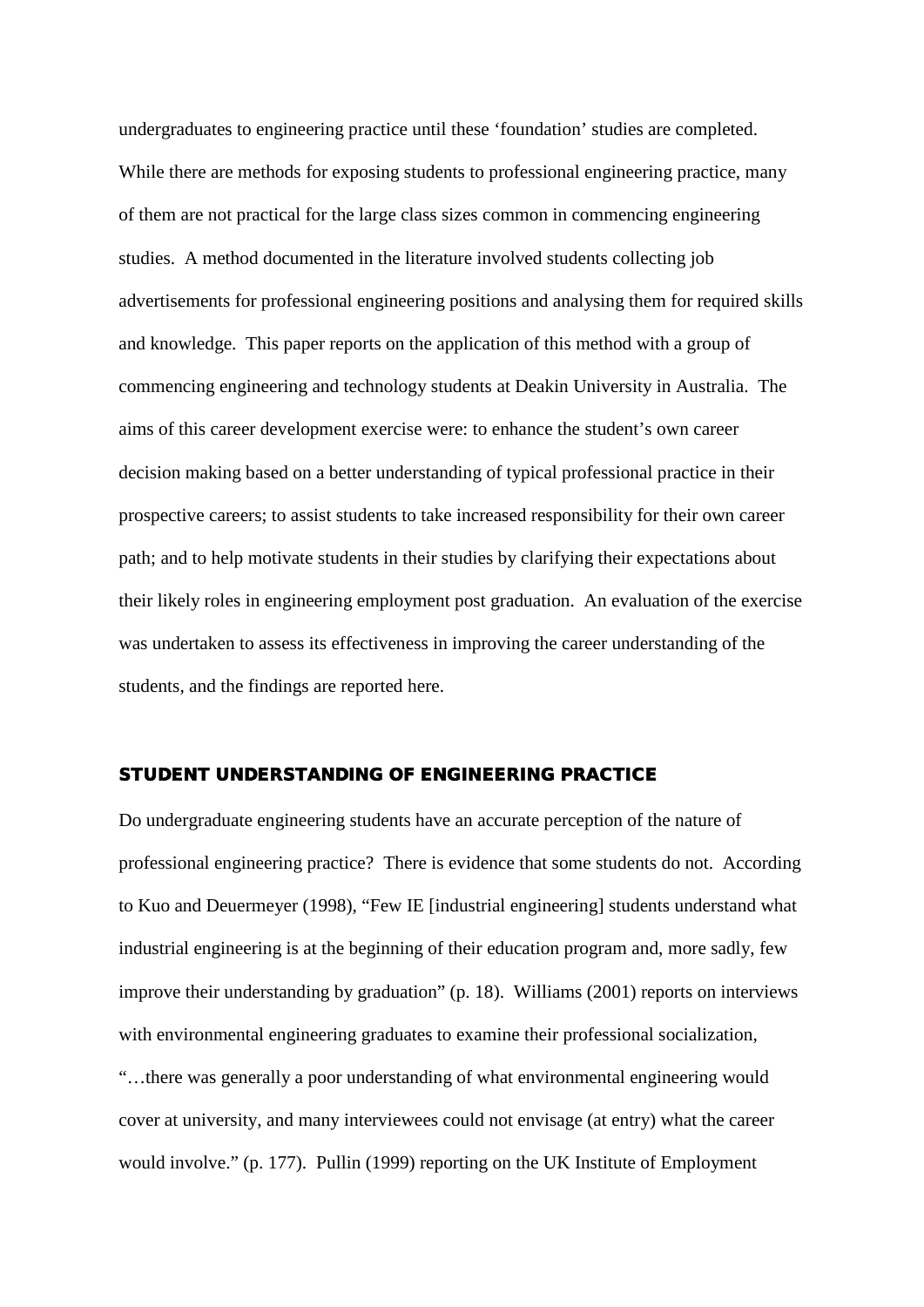undergraduates to engineering practice until these 'foundation' studies are completed. While there are methods for exposing students to professional engineering practice, many of them are not practical for the large class sizes common in commencing engineering studies. A method documented in the literature involved students collecting job advertisements for professional engineering positions and analysing them for required skills and knowledge. This paper reports on the application of this method with a group of commencing engineering and technology students at Deakin University in Australia. The aims of this career development exercise were: to enhance the student's own career decision making based on a better understanding of typical professional practice in their prospective careers; to assist students to take increased responsibility for their own career path; and to help motivate students in their studies by clarifying their expectations about their likely roles in engineering employment post graduation. An evaluation of the exercise was undertaken to assess its effectiveness in improving the career understanding of the students, and the findings are reported here.

## STUDENT UNDERSTANDING OF ENGINEERING PRACTICE

Do undergraduate engineering students have an accurate perception of the nature of professional engineering practice? There is evidence that some students do not. According to Kuo and Deuermeyer (1998), "Few IE [industrial engineering] students understand what industrial engineering is at the beginning of their education program and, more sadly, few improve their understanding by graduation" (p. 18). Williams (2001) reports on interviews with environmental engineering graduates to examine their professional socialization, "…there was generally a poor understanding of what environmental engineering would cover at university, and many interviewees could not envisage (at entry) what the career

would involve." (p. 177). Pullin (1999) reporting on the UK Institute of Employment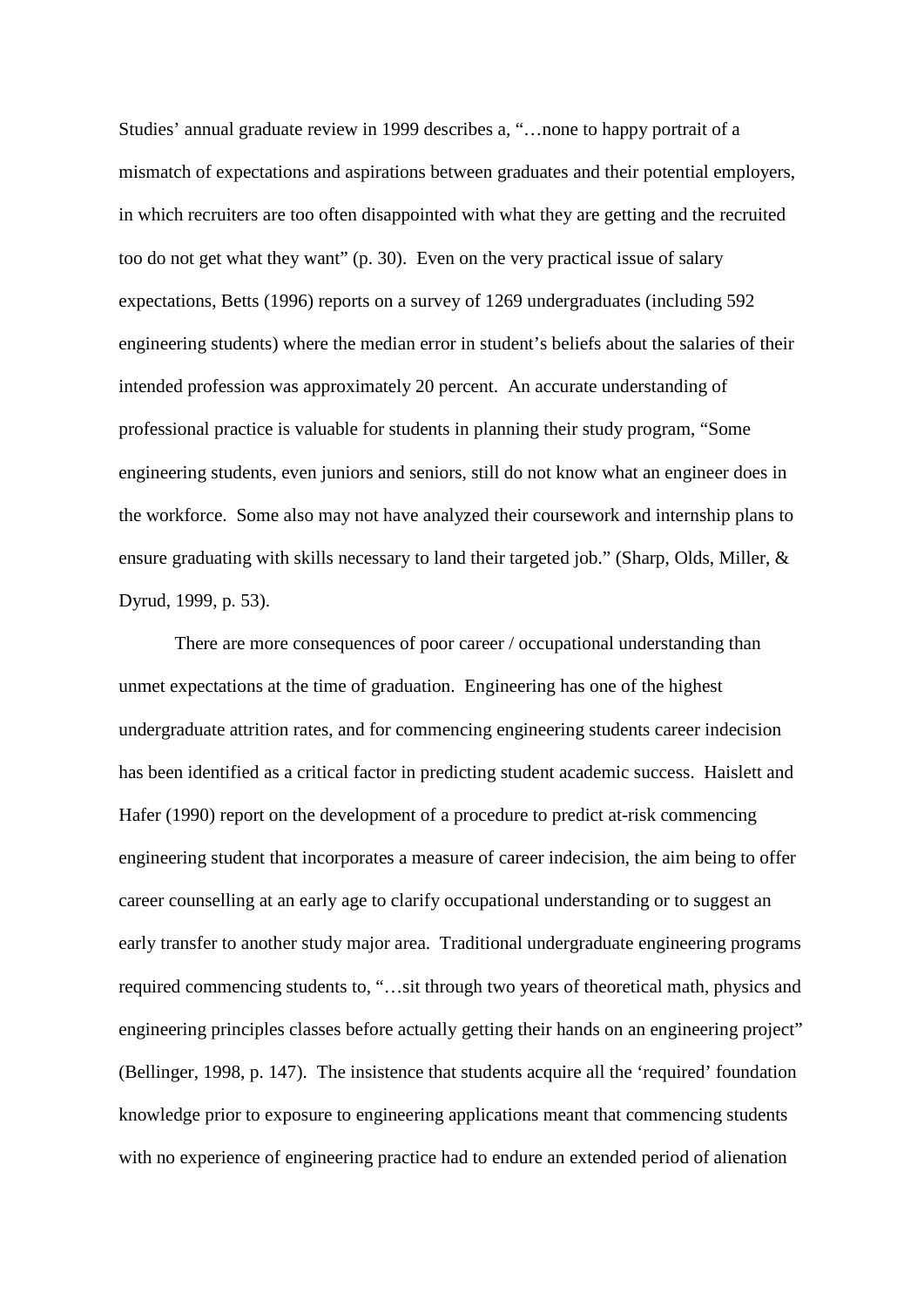Studies' annual graduate review in 1999 describes a, "…none to happy portrait of a mismatch of expectations and aspirations between graduates and their potential employers, in which recruiters are too often disappointed with what they are getting and the recruited too do not get what they want" (p. 30). Even on the very practical issue of salary expectations, Betts (1996) reports on a survey of 1269 undergraduates (including 592 engineering students) where the median error in student's beliefs about the salaries of their intended profession was approximately 20 percent. An accurate understanding of professional practice is valuable for students in planning their study program, "Some engineering students, even juniors and seniors, still do not know what an engineer does in the workforce. Some also may not have analyzed their coursework and internship plans to ensure graduating with skills necessary to land their targeted job." (Sharp, Olds, Miller, & Dyrud, 1999, p. 53).

There are more consequences of poor career / occupational understanding than unmet expectations at the time of graduation. Engineering has one of the highest undergraduate attrition rates, and for commencing engineering students career indecision has been identified as a critical factor in predicting student academic success. Haislett and Hafer (1990) report on the development of a procedure to predict at-risk commencing engineering student that incorporates a measure of career indecision, the aim being to offer career counselling at an early age to clarify occupational understanding or to suggest an early transfer to another study major area. Traditional undergraduate engineering programs required commencing students to, "…sit through two years of theoretical math, physics and engineering principles classes before actually getting their hands on an engineering project" (Bellinger, 1998, p. 147). The insistence that students acquire all the 'required' foundation knowledge prior to exposure to engineering applications meant that commencing students with no experience of engineering practice had to endure an extended period of alienation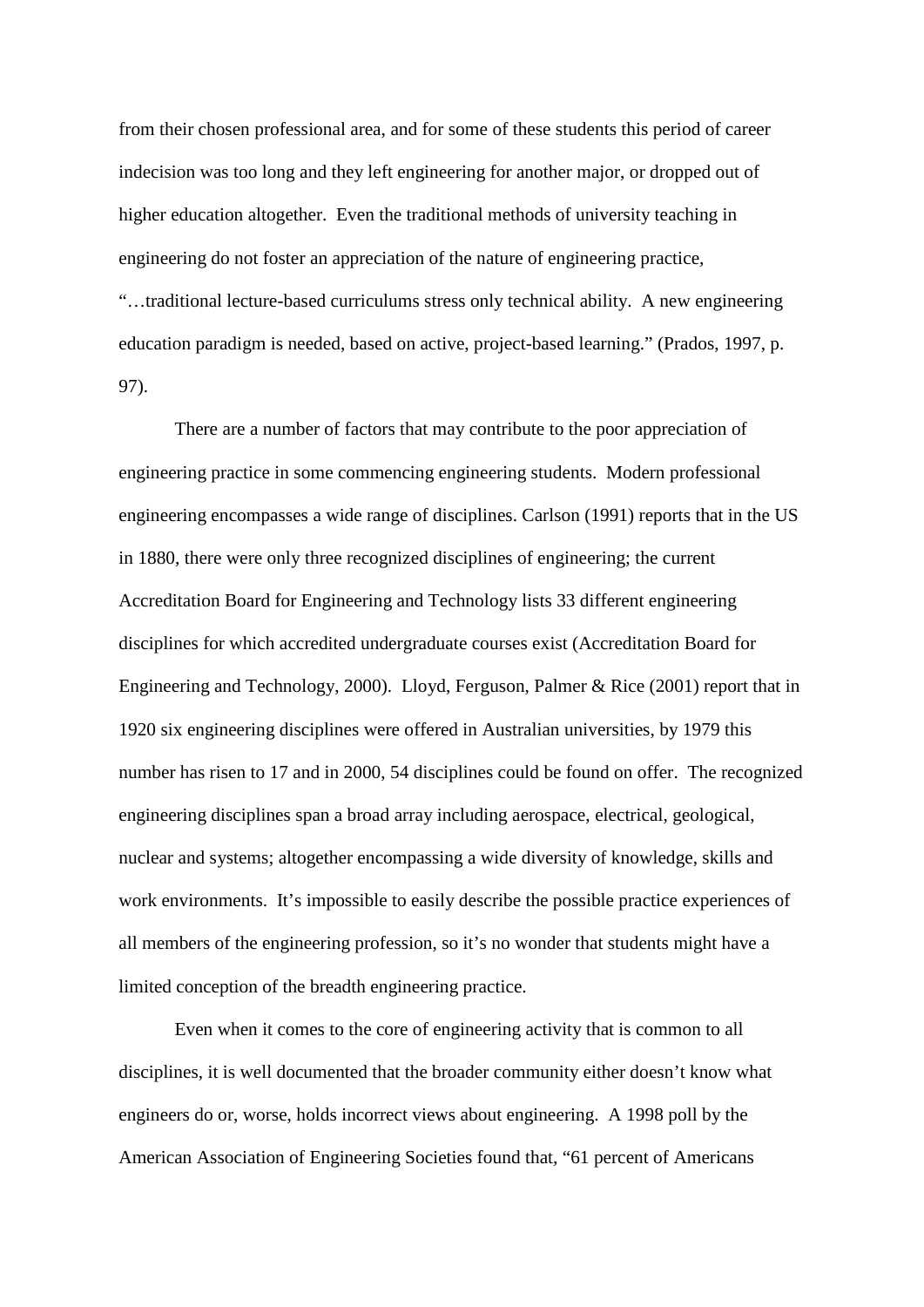from their chosen professional area, and for some of these students this period of career indecision was too long and they left engineering for another major, or dropped out of higher education altogether. Even the traditional methods of university teaching in engineering do not foster an appreciation of the nature of engineering practice, "…traditional lecture-based curriculums stress only technical ability. A new engineering education paradigm is needed, based on active, project-based learning." (Prados, 1997, p. 97).

There are a number of factors that may contribute to the poor appreciation of engineering practice in some commencing engineering students. Modern professional engineering encompasses a wide range of disciplines. Carlson (1991) reports that in the US in 1880, there were only three recognized disciplines of engineering; the current Accreditation Board for Engineering and Technology lists 33 different engineering disciplines for which accredited undergraduate courses exist (Accreditation Board for Engineering and Technology, 2000). Lloyd, Ferguson, Palmer & Rice (2001) report that in 1920 six engineering disciplines were offered in Australian universities, by 1979 this number has risen to 17 and in 2000, 54 disciplines could be found on offer. The recognized engineering disciplines span a broad array including aerospace, electrical, geological, nuclear and systems; altogether encompassing a wide diversity of knowledge, skills and work environments. It's impossible to easily describe the possible practice experiences of all members of the engineering profession, so it's no wonder that students might have a limited conception of the breadth engineering practice.

Even when it comes to the core of engineering activity that is common to all disciplines, it is well documented that the broader community either doesn't know what engineers do or, worse, holds incorrect views about engineering. A 1998 poll by the American Association of Engineering Societies found that, "61 percent of Americans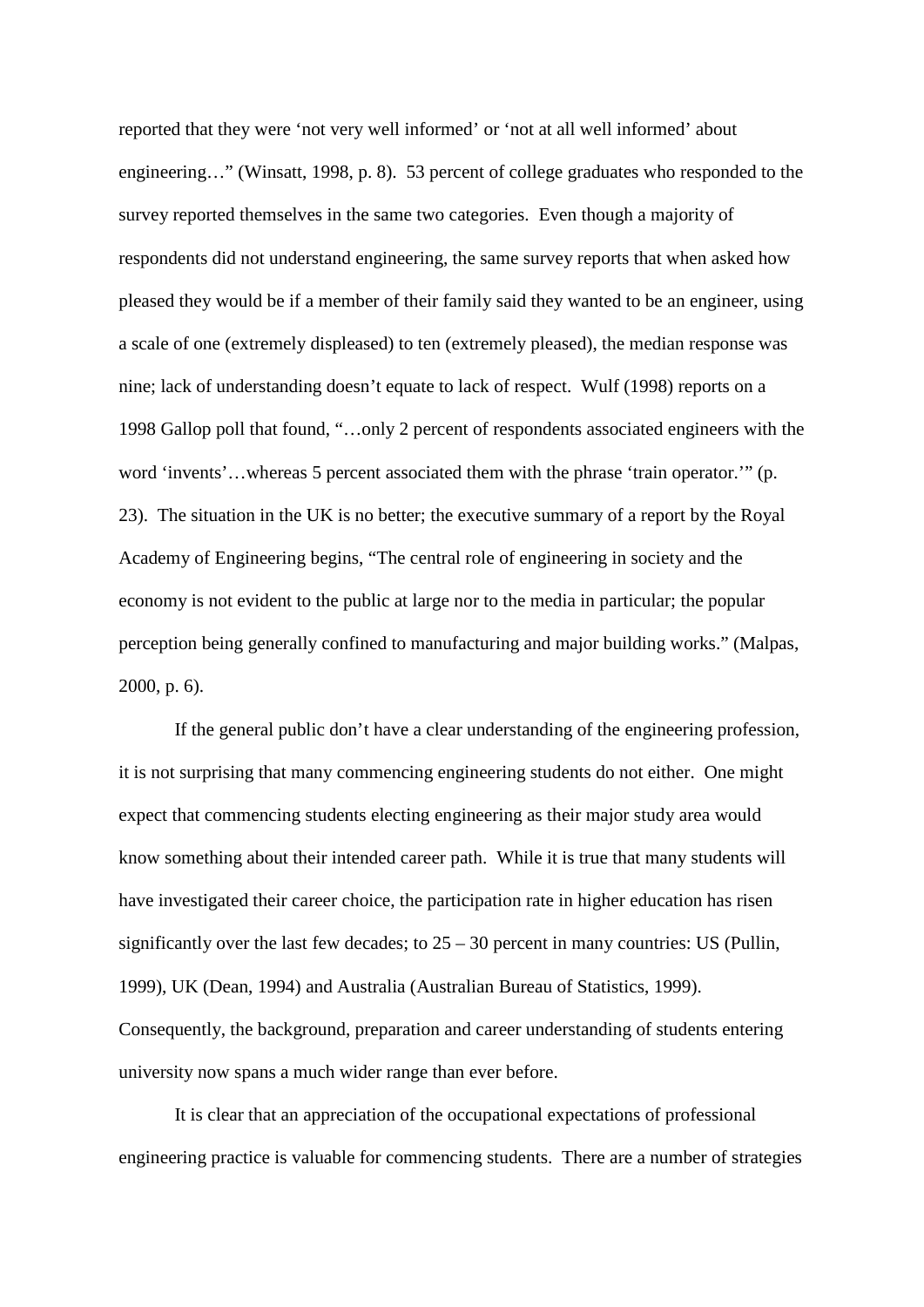reported that they were 'not very well informed' or 'not at all well informed' about engineering…" (Winsatt, 1998, p. 8). 53 percent of college graduates who responded to the survey reported themselves in the same two categories. Even though a majority of respondents did not understand engineering, the same survey reports that when asked how pleased they would be if a member of their family said they wanted to be an engineer, using a scale of one (extremely displeased) to ten (extremely pleased), the median response was nine; lack of understanding doesn't equate to lack of respect. Wulf (1998) reports on a 1998 Gallop poll that found, "…only 2 percent of respondents associated engineers with the word 'invents'…whereas 5 percent associated them with the phrase 'train operator.'" (p. 23). The situation in the UK is no better; the executive summary of a report by the Royal Academy of Engineering begins, "The central role of engineering in society and the economy is not evident to the public at large nor to the media in particular; the popular perception being generally confined to manufacturing and major building works." (Malpas, 2000, p. 6).

If the general public don't have a clear understanding of the engineering profession, it is not surprising that many commencing engineering students do not either. One might expect that commencing students electing engineering as their major study area would know something about their intended career path. While it is true that many students will have investigated their career choice, the participation rate in higher education has risen significantly over the last few decades; to  $25 - 30$  percent in many countries: US (Pullin, 1999), UK (Dean, 1994) and Australia (Australian Bureau of Statistics, 1999). Consequently, the background, preparation and career understanding of students entering university now spans a much wider range than ever before.

It is clear that an appreciation of the occupational expectations of professional engineering practice is valuable for commencing students. There are a number of strategies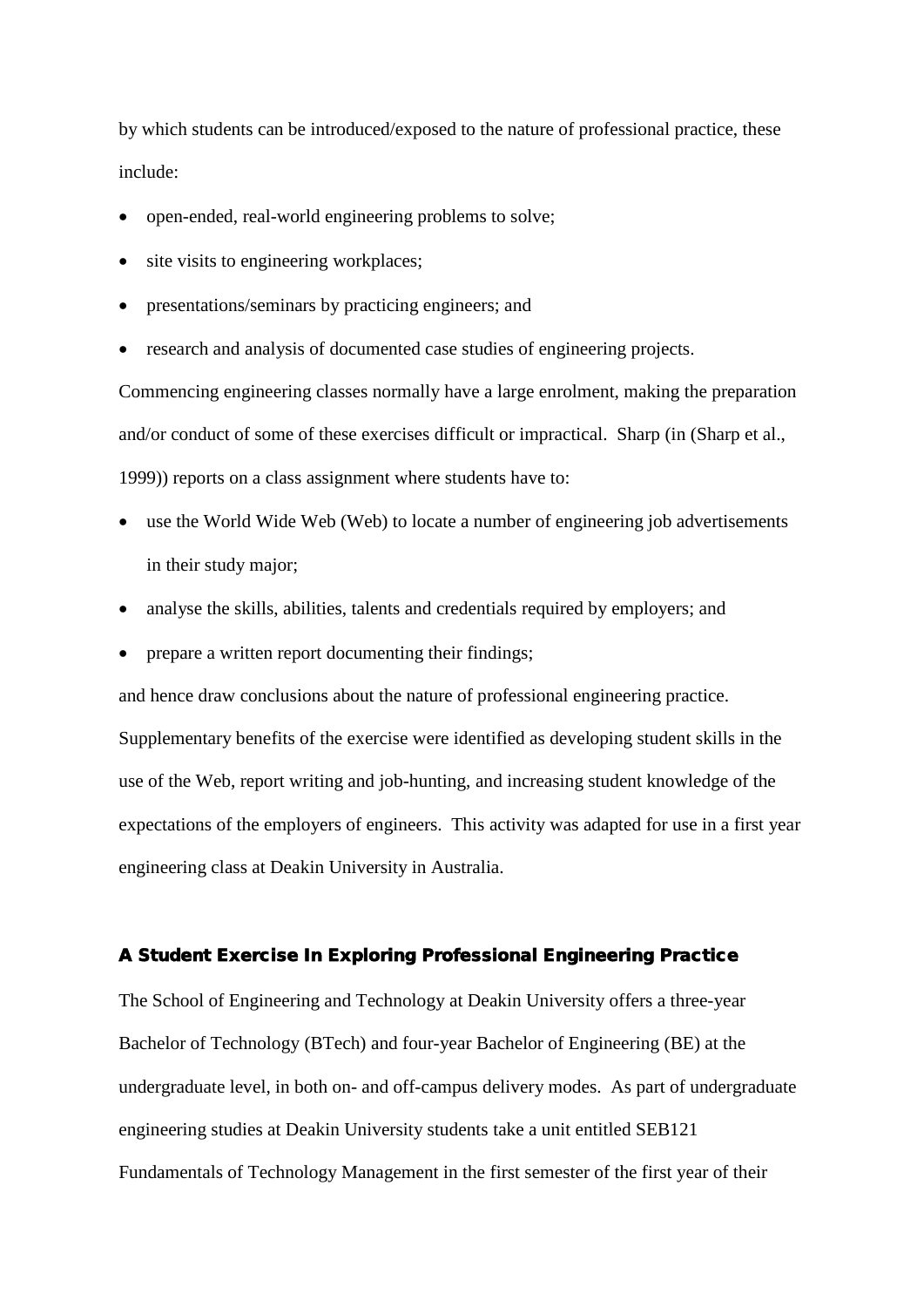by which students can be introduced/exposed to the nature of professional practice, these include:

- open-ended, real-world engineering problems to solve;
- site visits to engineering workplaces;
- presentations/seminars by practicing engineers; and
- research and analysis of documented case studies of engineering projects.

Commencing engineering classes normally have a large enrolment, making the preparation and/or conduct of some of these exercises difficult or impractical. Sharp (in (Sharp et al., 1999)) reports on a class assignment where students have to:

- use the World Wide Web (Web) to locate a number of engineering job advertisements in their study major;
- analyse the skills, abilities, talents and credentials required by employers; and
- prepare a written report documenting their findings;

and hence draw conclusions about the nature of professional engineering practice.

Supplementary benefits of the exercise were identified as developing student skills in the use of the Web, report writing and job-hunting, and increasing student knowledge of the expectations of the employers of engineers. This activity was adapted for use in a first year engineering class at Deakin University in Australia.

#### A Student Exercise In Exploring Professional Engineering Practice

The School of Engineering and Technology at Deakin University offers a three-year Bachelor of Technology (BTech) and four-year Bachelor of Engineering (BE) at the undergraduate level, in both on- and off-campus delivery modes. As part of undergraduate engineering studies at Deakin University students take a unit entitled SEB121 Fundamentals of Technology Management in the first semester of the first year of their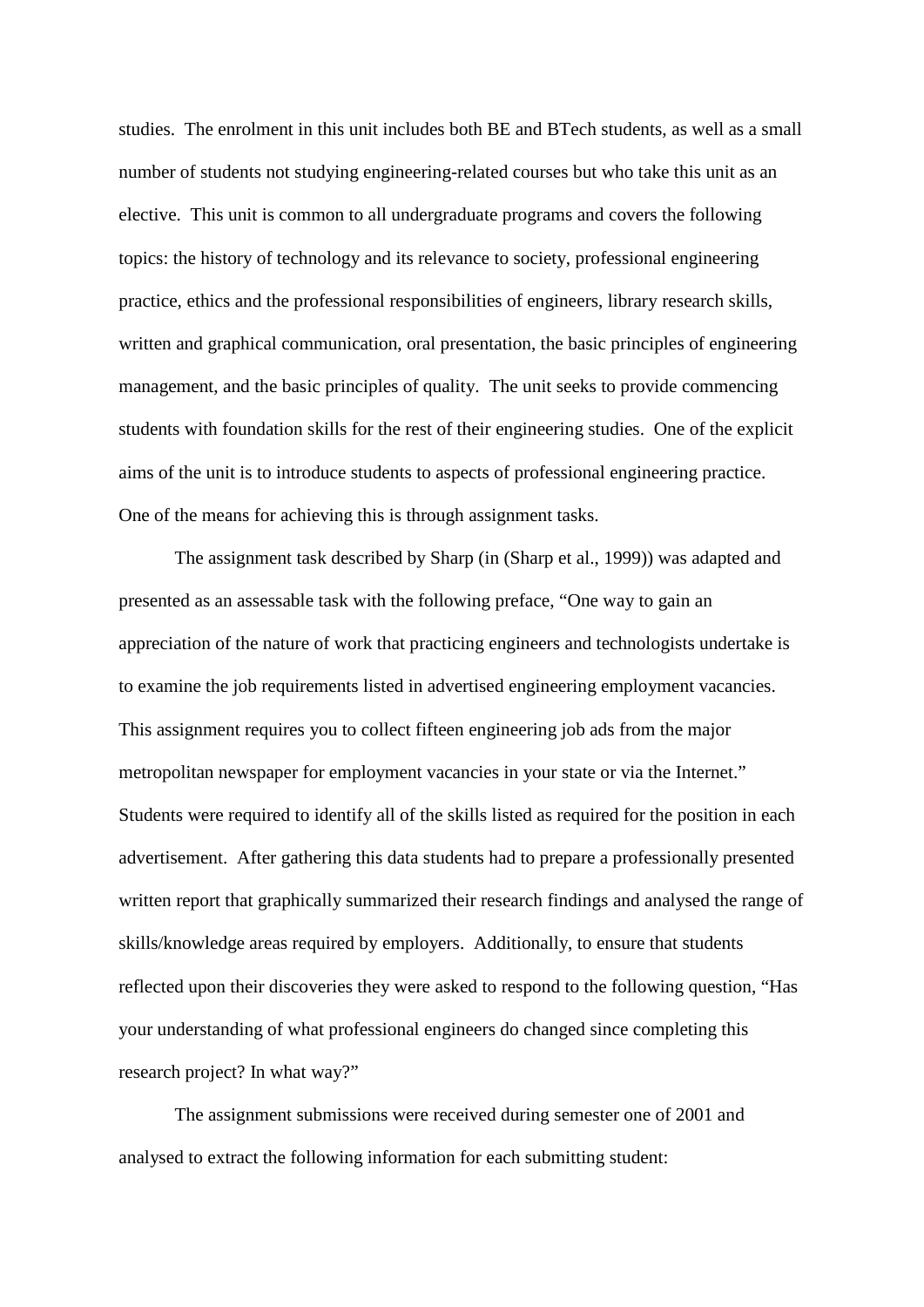studies. The enrolment in this unit includes both BE and BTech students, as well as a small number of students not studying engineering-related courses but who take this unit as an elective. This unit is common to all undergraduate programs and covers the following topics: the history of technology and its relevance to society, professional engineering practice, ethics and the professional responsibilities of engineers, library research skills, written and graphical communication, oral presentation, the basic principles of engineering management, and the basic principles of quality. The unit seeks to provide commencing students with foundation skills for the rest of their engineering studies. One of the explicit aims of the unit is to introduce students to aspects of professional engineering practice. One of the means for achieving this is through assignment tasks.

The assignment task described by Sharp (in (Sharp et al., 1999)) was adapted and presented as an assessable task with the following preface, "One way to gain an appreciation of the nature of work that practicing engineers and technologists undertake is to examine the job requirements listed in advertised engineering employment vacancies. This assignment requires you to collect fifteen engineering job ads from the major metropolitan newspaper for employment vacancies in your state or via the Internet." Students were required to identify all of the skills listed as required for the position in each advertisement. After gathering this data students had to prepare a professionally presented written report that graphically summarized their research findings and analysed the range of skills/knowledge areas required by employers. Additionally, to ensure that students reflected upon their discoveries they were asked to respond to the following question, "Has your understanding of what professional engineers do changed since completing this research project? In what way?"

The assignment submissions were received during semester one of 2001 and analysed to extract the following information for each submitting student: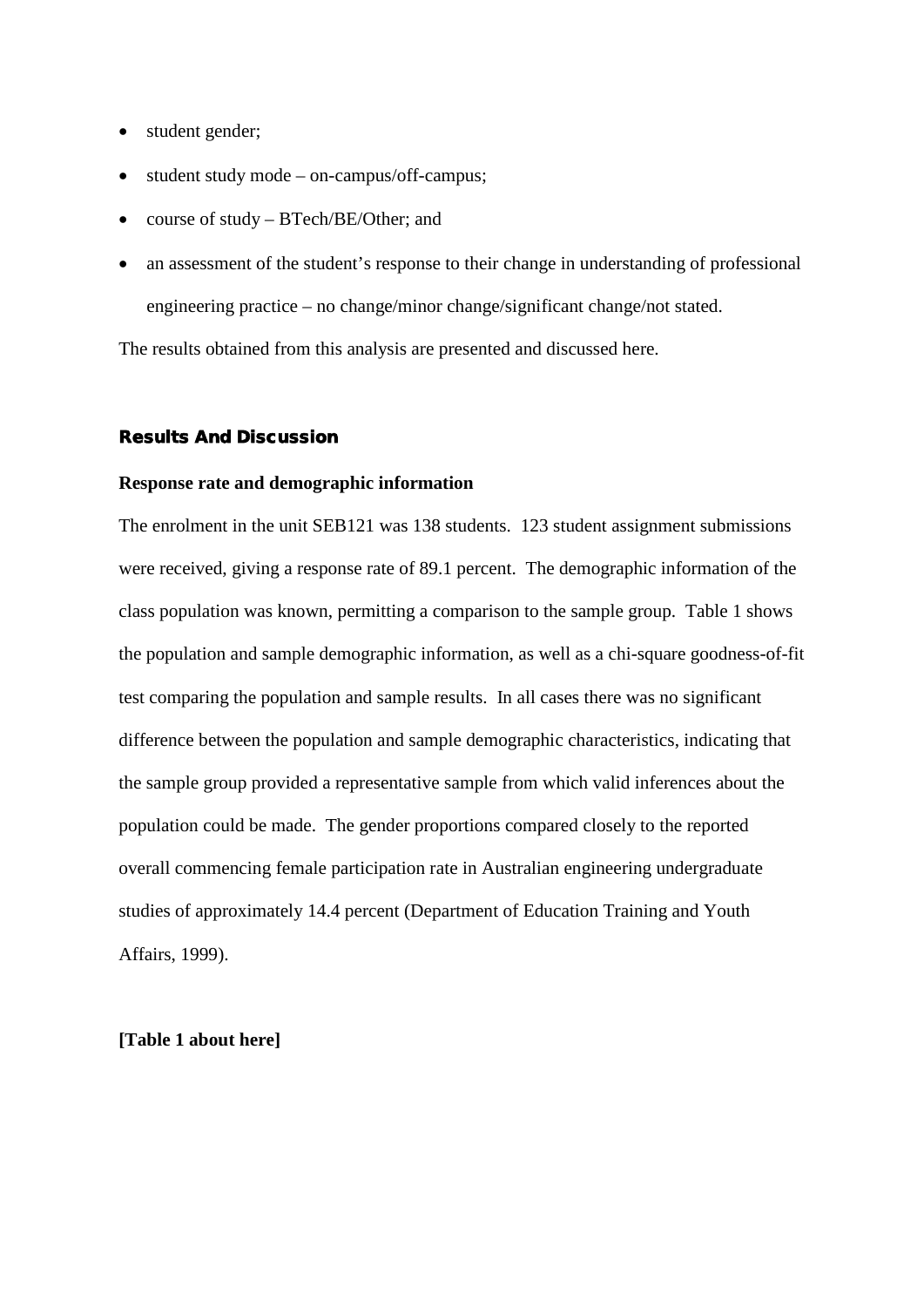- student gender;
- student study mode on-campus/off-campus;
- course of study BTech/BE/Other; and
- an assessment of the student's response to their change in understanding of professional engineering practice – no change/minor change/significant change/not stated.

The results obtained from this analysis are presented and discussed here.

#### Results And Discussion

#### **Response rate and demographic information**

The enrolment in the unit SEB121 was 138 students. 123 student assignment submissions were received, giving a response rate of 89.1 percent. The demographic information of the class population was known, permitting a comparison to the sample group. Table 1 shows the population and sample demographic information, as well as a chi-square goodness-of-fit test comparing the population and sample results. In all cases there was no significant difference between the population and sample demographic characteristics, indicating that the sample group provided a representative sample from which valid inferences about the population could be made. The gender proportions compared closely to the reported overall commencing female participation rate in Australian engineering undergraduate studies of approximately 14.4 percent (Department of Education Training and Youth Affairs, 1999).

### **[Table 1 about here]**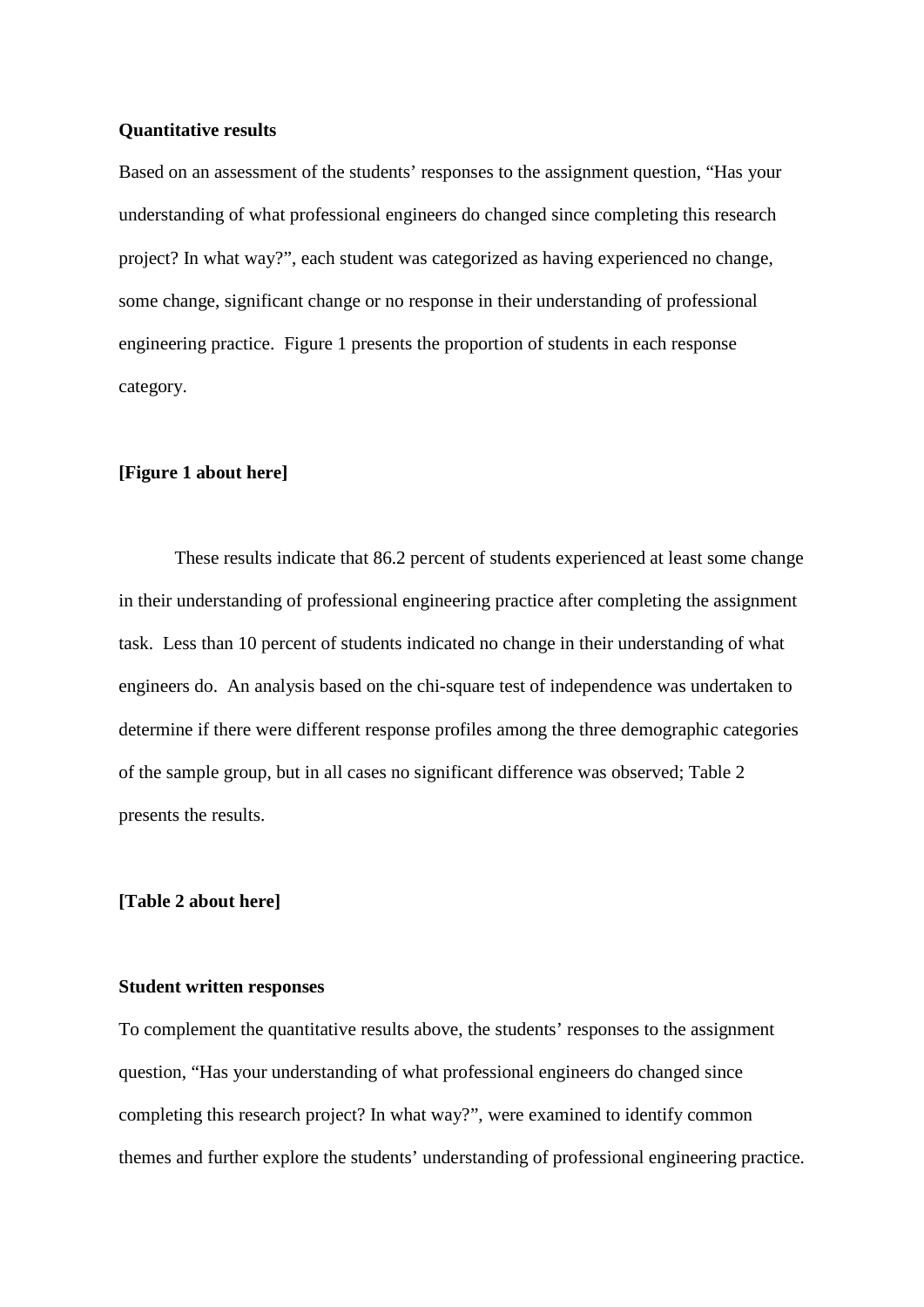#### **Quantitative results**

Based on an assessment of the students' responses to the assignment question, "Has your understanding of what professional engineers do changed since completing this research project? In what way?", each student was categorized as having experienced no change, some change, significant change or no response in their understanding of professional engineering practice. Figure 1 presents the proportion of students in each response category.

### **[Figure 1 about here]**

These results indicate that 86.2 percent of students experienced at least some change in their understanding of professional engineering practice after completing the assignment task. Less than 10 percent of students indicated no change in their understanding of what engineers do. An analysis based on the chi-square test of independence was undertaken to determine if there were different response profiles among the three demographic categories of the sample group, but in all cases no significant difference was observed; Table 2 presents the results.

#### **[Table 2 about here]**

#### **Student written responses**

To complement the quantitative results above, the students' responses to the assignment question, "Has your understanding of what professional engineers do changed since completing this research project? In what way?", were examined to identify common themes and further explore the students' understanding of professional engineering practice.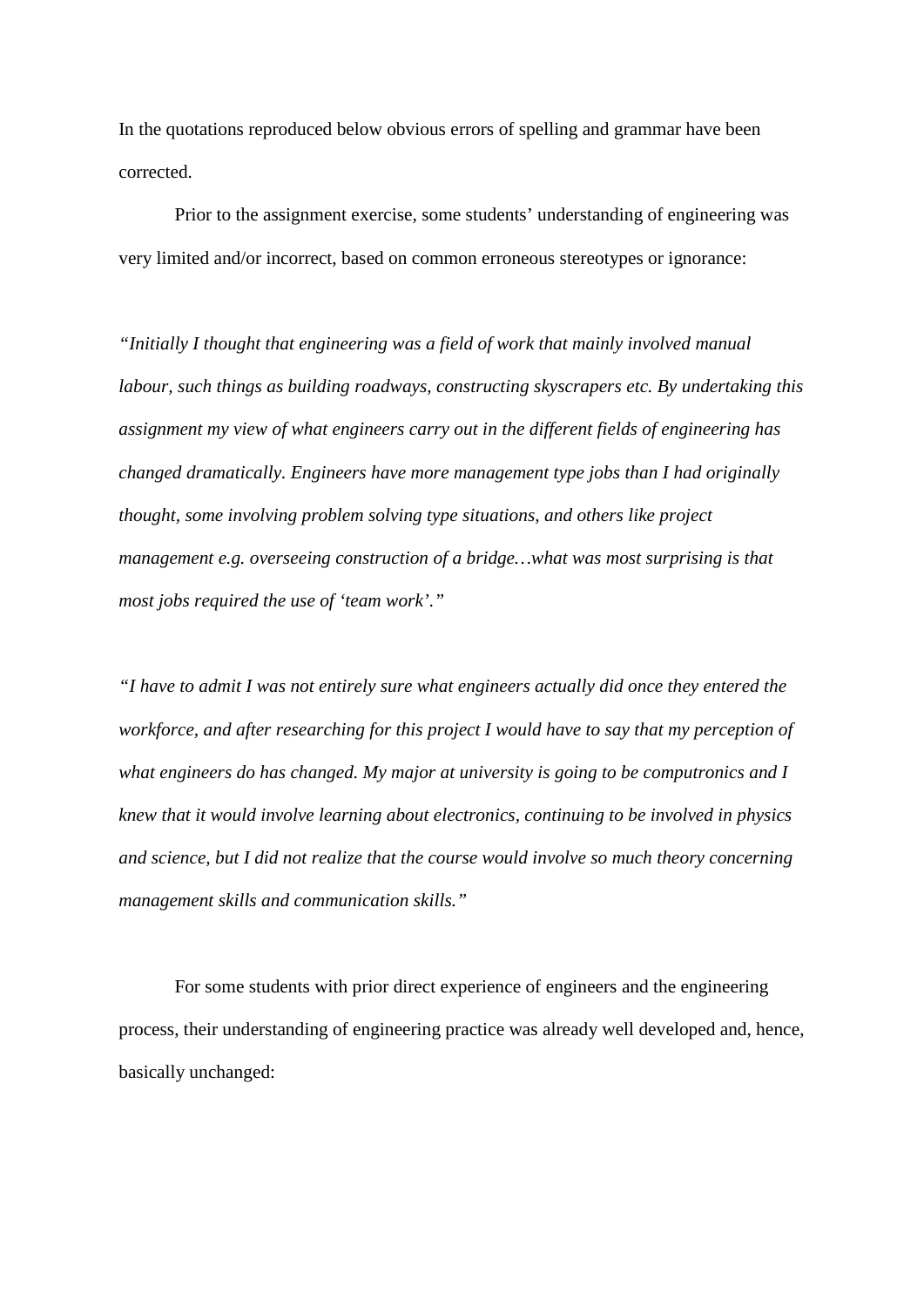In the quotations reproduced below obvious errors of spelling and grammar have been corrected.

Prior to the assignment exercise, some students' understanding of engineering was very limited and/or incorrect, based on common erroneous stereotypes or ignorance:

*"Initially I thought that engineering was a field of work that mainly involved manual labour, such things as building roadways, constructing skyscrapers etc. By undertaking this assignment my view of what engineers carry out in the different fields of engineering has changed dramatically. Engineers have more management type jobs than I had originally thought, some involving problem solving type situations, and others like project management e.g. overseeing construction of a bridge…what was most surprising is that most jobs required the use of 'team work'."*

*"I have to admit I was not entirely sure what engineers actually did once they entered the workforce, and after researching for this project I would have to say that my perception of what engineers do has changed. My major at university is going to be computronics and I knew that it would involve learning about electronics, continuing to be involved in physics and science, but I did not realize that the course would involve so much theory concerning management skills and communication skills."*

For some students with prior direct experience of engineers and the engineering process, their understanding of engineering practice was already well developed and, hence, basically unchanged: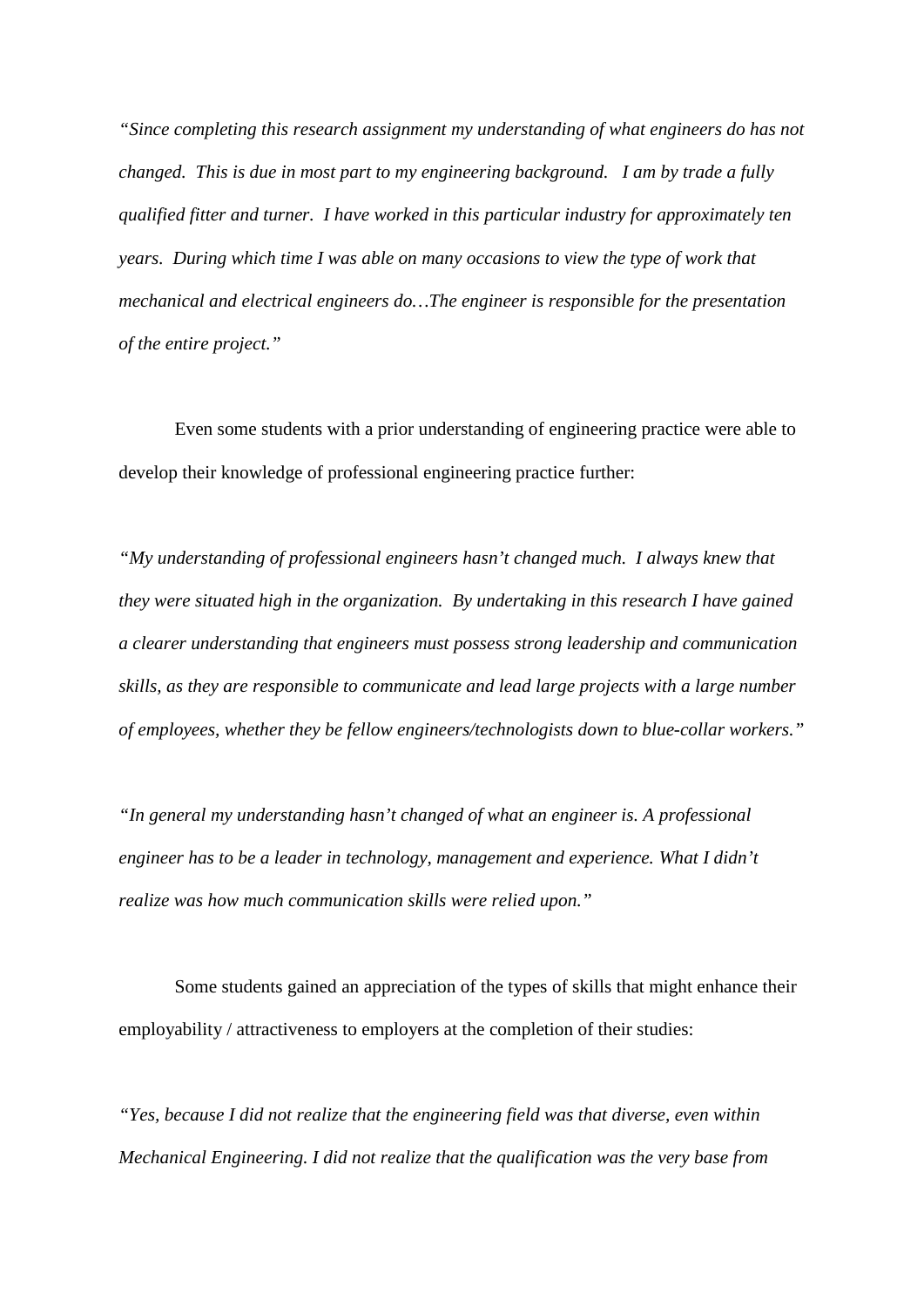*"Since completing this research assignment my understanding of what engineers do has not changed. This is due in most part to my engineering background. I am by trade a fully qualified fitter and turner. I have worked in this particular industry for approximately ten years. During which time I was able on many occasions to view the type of work that mechanical and electrical engineers do…The engineer is responsible for the presentation of the entire project."*

Even some students with a prior understanding of engineering practice were able to develop their knowledge of professional engineering practice further:

*"My understanding of professional engineers hasn't changed much. I always knew that they were situated high in the organization. By undertaking in this research I have gained a clearer understanding that engineers must possess strong leadership and communication skills, as they are responsible to communicate and lead large projects with a large number of employees, whether they be fellow engineers/technologists down to blue-collar workers."*

*"In general my understanding hasn't changed of what an engineer is. A professional engineer has to be a leader in technology, management and experience. What I didn't realize was how much communication skills were relied upon."*

Some students gained an appreciation of the types of skills that might enhance their employability / attractiveness to employers at the completion of their studies:

*"Yes, because I did not realize that the engineering field was that diverse, even within Mechanical Engineering. I did not realize that the qualification was the very base from*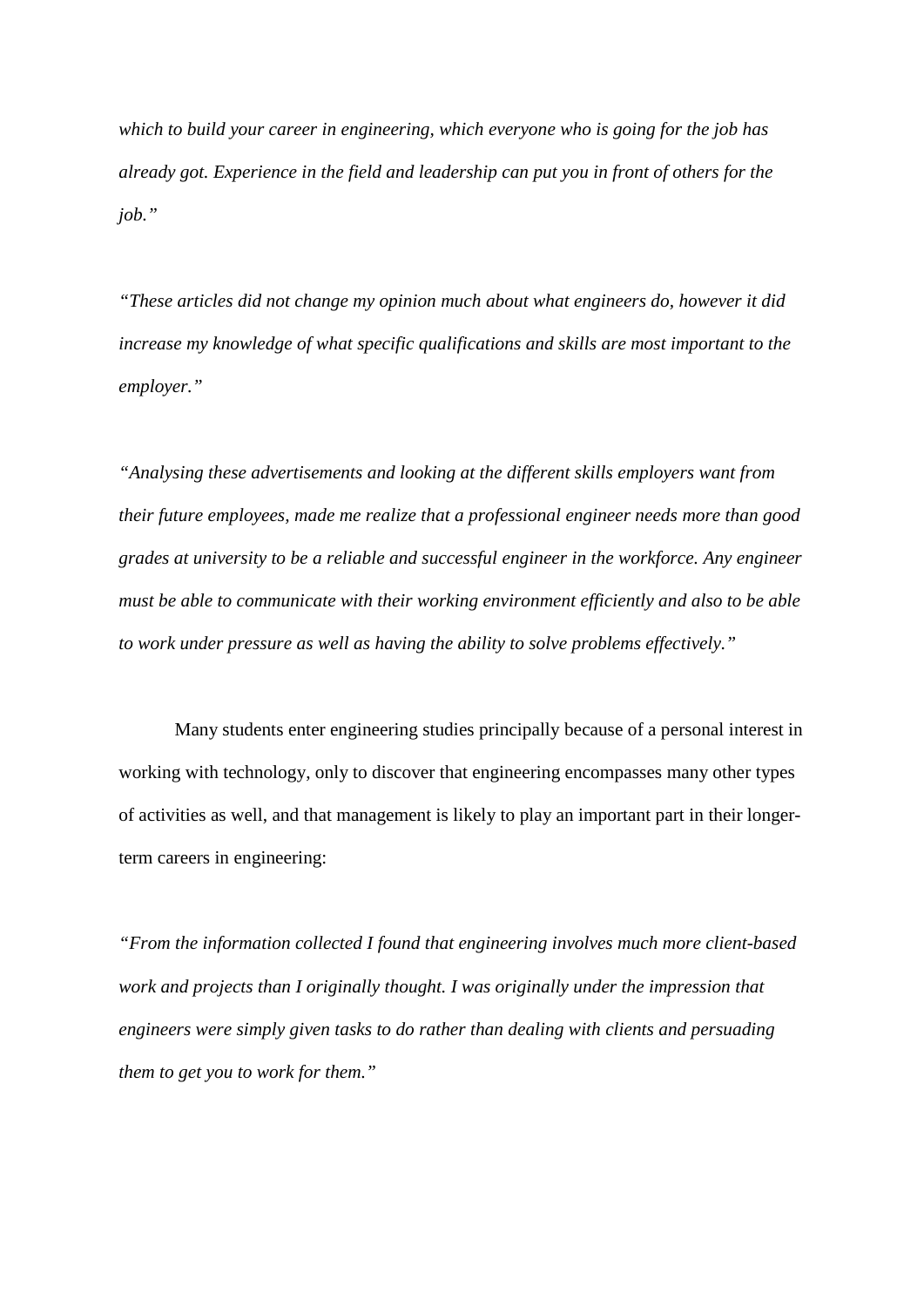*which to build your career in engineering, which everyone who is going for the job has already got. Experience in the field and leadership can put you in front of others for the job."*

*"These articles did not change my opinion much about what engineers do, however it did increase my knowledge of what specific qualifications and skills are most important to the employer."*

*"Analysing these advertisements and looking at the different skills employers want from their future employees, made me realize that a professional engineer needs more than good grades at university to be a reliable and successful engineer in the workforce. Any engineer must be able to communicate with their working environment efficiently and also to be able to work under pressure as well as having the ability to solve problems effectively."*

Many students enter engineering studies principally because of a personal interest in working with technology, only to discover that engineering encompasses many other types of activities as well, and that management is likely to play an important part in their longerterm careers in engineering:

*"From the information collected I found that engineering involves much more client-based work and projects than I originally thought. I was originally under the impression that engineers were simply given tasks to do rather than dealing with clients and persuading them to get you to work for them."*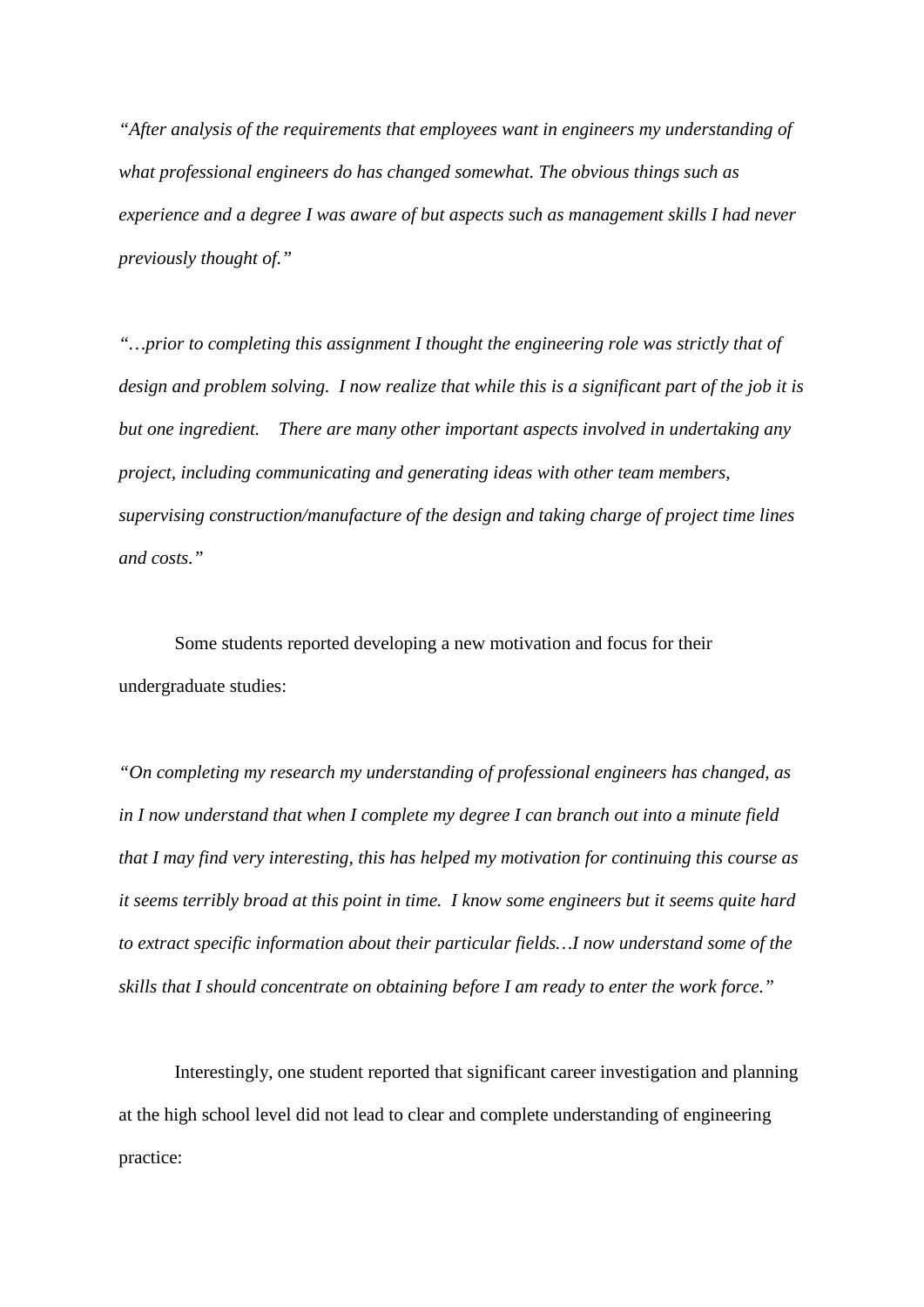*"After analysis of the requirements that employees want in engineers my understanding of what professional engineers do has changed somewhat. The obvious things such as experience and a degree I was aware of but aspects such as management skills I had never previously thought of."*

*"…prior to completing this assignment I thought the engineering role was strictly that of design and problem solving. I now realize that while this is a significant part of the job it is but one ingredient. There are many other important aspects involved in undertaking any project, including communicating and generating ideas with other team members, supervising construction/manufacture of the design and taking charge of project time lines and costs."*

Some students reported developing a new motivation and focus for their undergraduate studies:

*"On completing my research my understanding of professional engineers has changed, as in I now understand that when I complete my degree I can branch out into a minute field that I may find very interesting, this has helped my motivation for continuing this course as it seems terribly broad at this point in time. I know some engineers but it seems quite hard to extract specific information about their particular fields…I now understand some of the skills that I should concentrate on obtaining before I am ready to enter the work force."*

Interestingly, one student reported that significant career investigation and planning at the high school level did not lead to clear and complete understanding of engineering practice: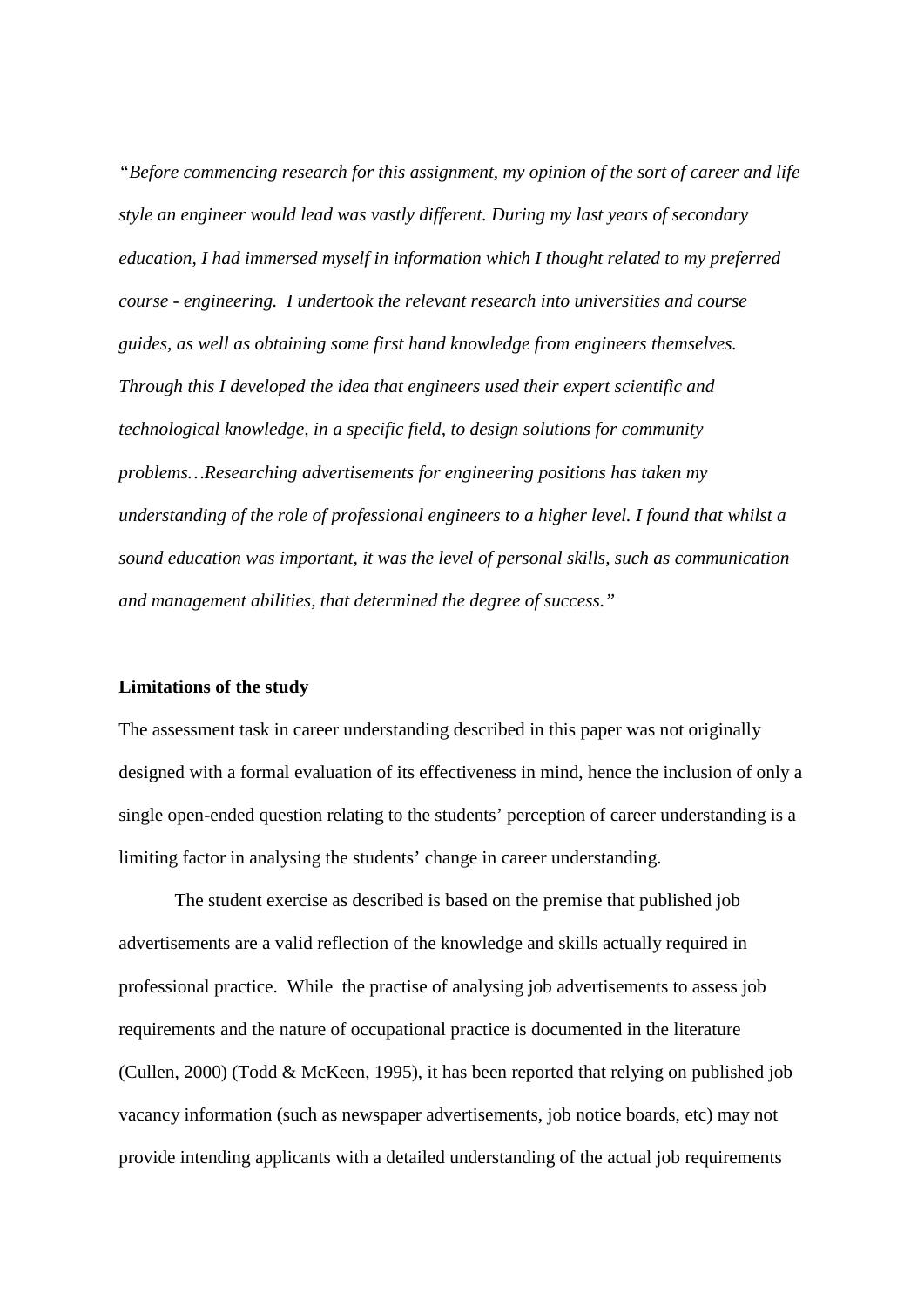*"Before commencing research for this assignment, my opinion of the sort of career and life style an engineer would lead was vastly different. During my last years of secondary education, I had immersed myself in information which I thought related to my preferred course - engineering. I undertook the relevant research into universities and course guides, as well as obtaining some first hand knowledge from engineers themselves. Through this I developed the idea that engineers used their expert scientific and technological knowledge, in a specific field, to design solutions for community problems…Researching advertisements for engineering positions has taken my understanding of the role of professional engineers to a higher level. I found that whilst a sound education was important, it was the level of personal skills, such as communication and management abilities, that determined the degree of success."*

#### **Limitations of the study**

The assessment task in career understanding described in this paper was not originally designed with a formal evaluation of its effectiveness in mind, hence the inclusion of only a single open-ended question relating to the students' perception of career understanding is a limiting factor in analysing the students' change in career understanding.

The student exercise as described is based on the premise that published job advertisements are a valid reflection of the knowledge and skills actually required in professional practice. While the practise of analysing job advertisements to assess job requirements and the nature of occupational practice is documented in the literature (Cullen, 2000) (Todd & McKeen, 1995), it has been reported that relying on published job vacancy information (such as newspaper advertisements, job notice boards, etc) may not provide intending applicants with a detailed understanding of the actual job requirements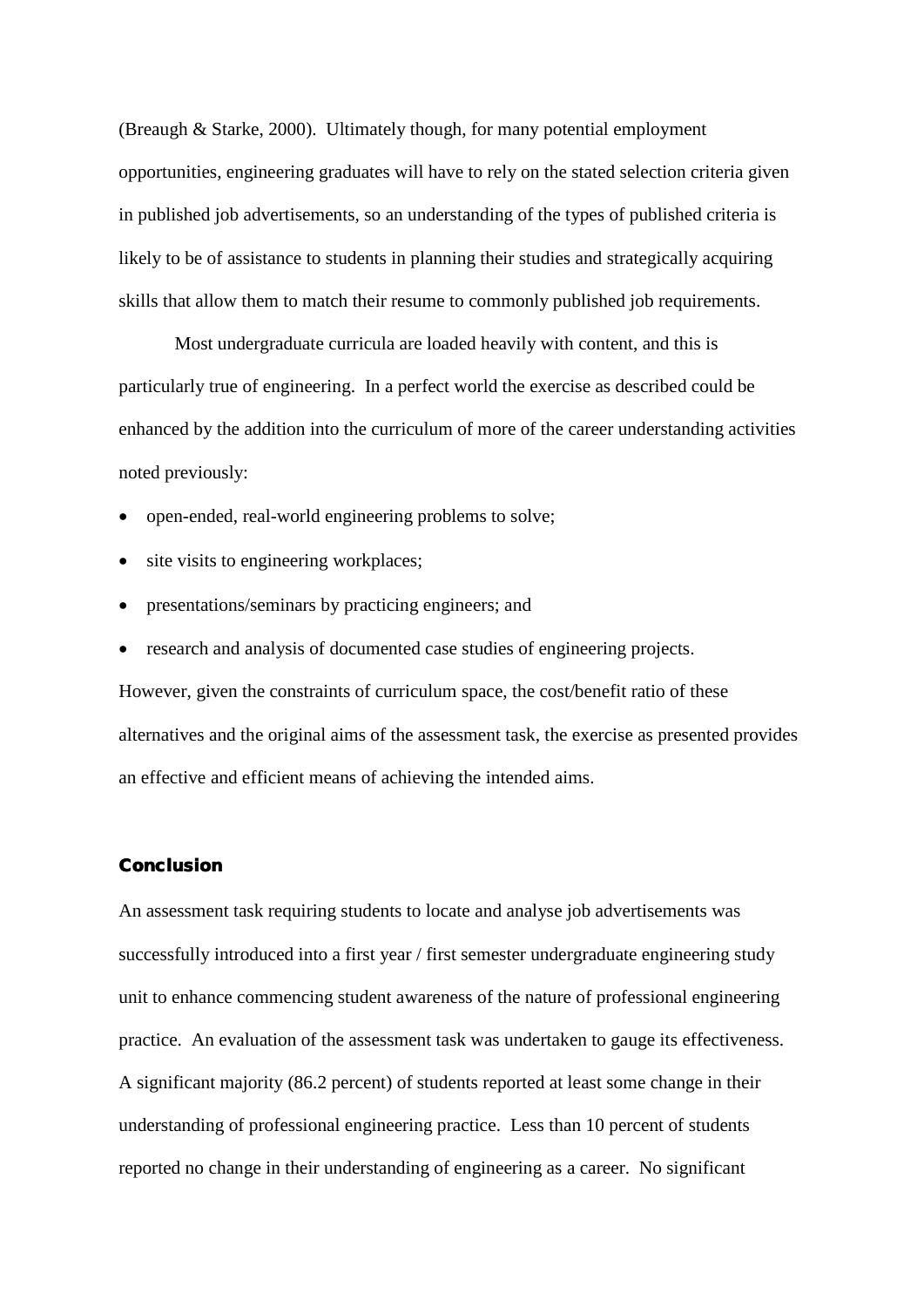(Breaugh & Starke, 2000). Ultimately though, for many potential employment opportunities, engineering graduates will have to rely on the stated selection criteria given in published job advertisements, so an understanding of the types of published criteria is likely to be of assistance to students in planning their studies and strategically acquiring skills that allow them to match their resume to commonly published job requirements.

Most undergraduate curricula are loaded heavily with content, and this is particularly true of engineering. In a perfect world the exercise as described could be enhanced by the addition into the curriculum of more of the career understanding activities noted previously:

- open-ended, real-world engineering problems to solve;
- site visits to engineering workplaces;
- presentations/seminars by practicing engineers; and
- research and analysis of documented case studies of engineering projects.

However, given the constraints of curriculum space, the cost/benefit ratio of these alternatives and the original aims of the assessment task, the exercise as presented provides an effective and efficient means of achieving the intended aims.

### Conclusion

An assessment task requiring students to locate and analyse job advertisements was successfully introduced into a first year / first semester undergraduate engineering study unit to enhance commencing student awareness of the nature of professional engineering practice. An evaluation of the assessment task was undertaken to gauge its effectiveness. A significant majority (86.2 percent) of students reported at least some change in their understanding of professional engineering practice. Less than 10 percent of students reported no change in their understanding of engineering as a career. No significant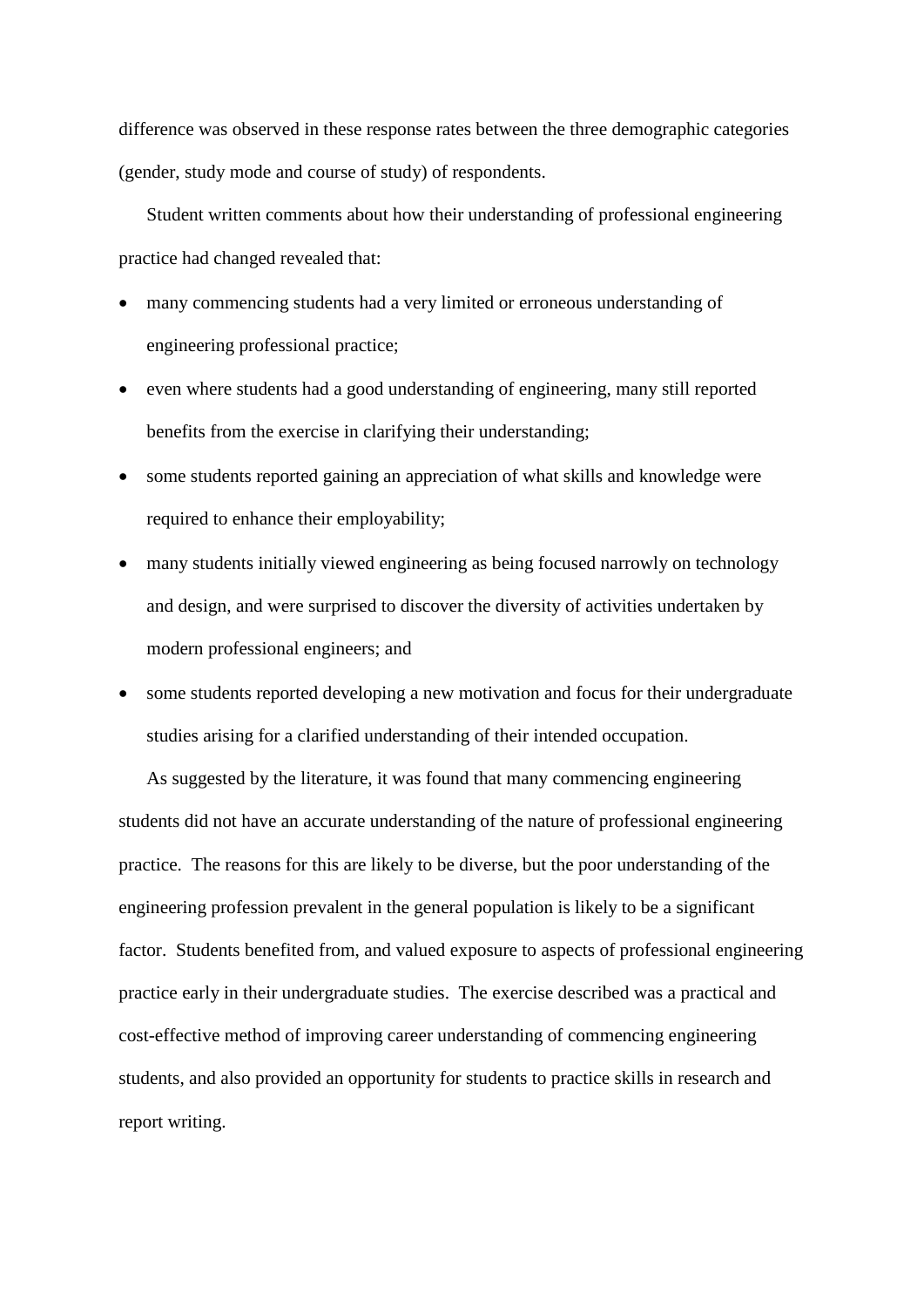difference was observed in these response rates between the three demographic categories (gender, study mode and course of study) of respondents.

Student written comments about how their understanding of professional engineering practice had changed revealed that:

- many commencing students had a very limited or erroneous understanding of engineering professional practice;
- even where students had a good understanding of engineering, many still reported benefits from the exercise in clarifying their understanding;
- some students reported gaining an appreciation of what skills and knowledge were required to enhance their employability;
- many students initially viewed engineering as being focused narrowly on technology and design, and were surprised to discover the diversity of activities undertaken by modern professional engineers; and
- some students reported developing a new motivation and focus for their undergraduate studies arising for a clarified understanding of their intended occupation.

As suggested by the literature, it was found that many commencing engineering students did not have an accurate understanding of the nature of professional engineering practice. The reasons for this are likely to be diverse, but the poor understanding of the engineering profession prevalent in the general population is likely to be a significant factor. Students benefited from, and valued exposure to aspects of professional engineering practice early in their undergraduate studies. The exercise described was a practical and cost-effective method of improving career understanding of commencing engineering students, and also provided an opportunity for students to practice skills in research and report writing.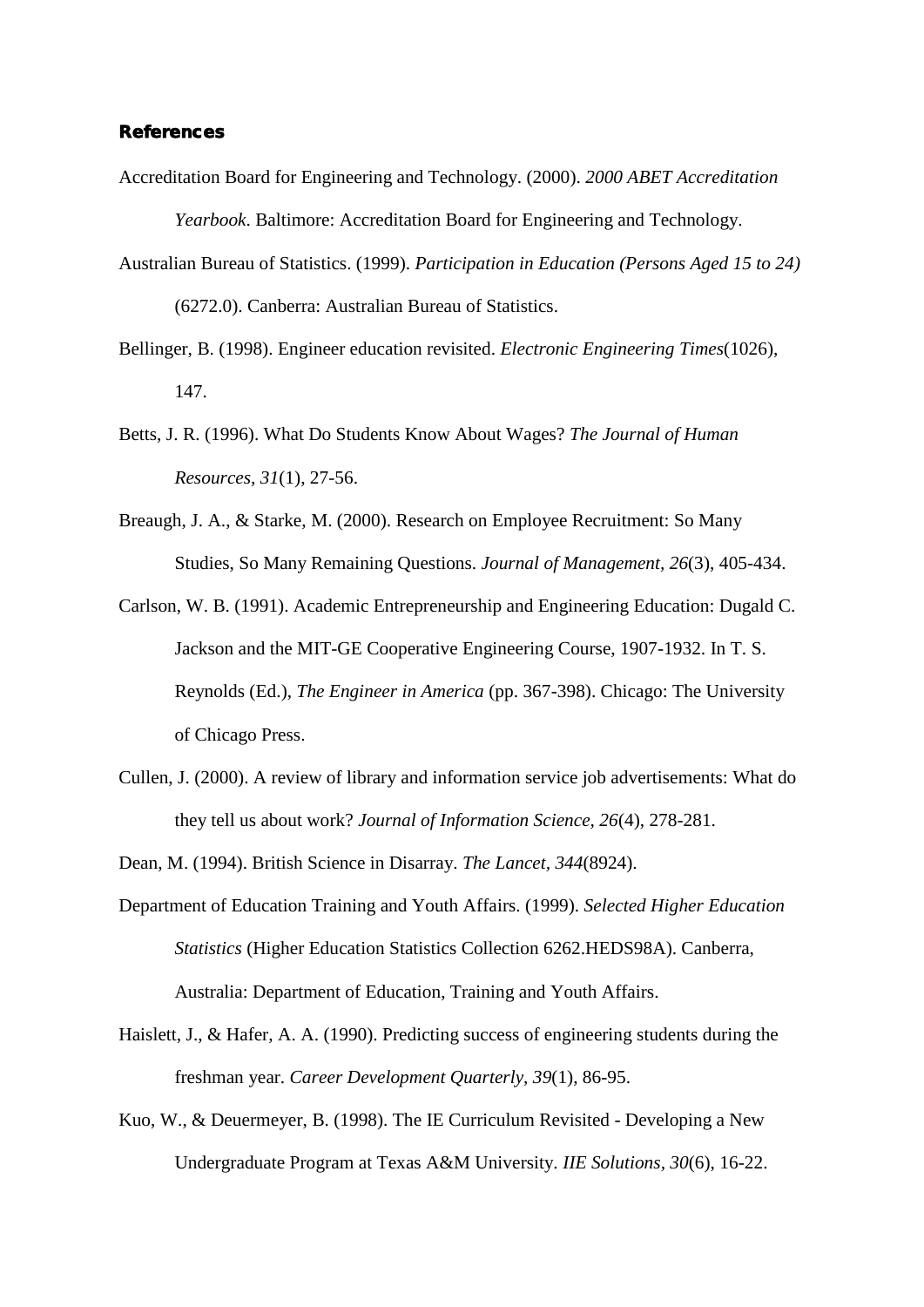#### References

- Accreditation Board for Engineering and Technology. (2000). *2000 ABET Accreditation Yearbook*. Baltimore: Accreditation Board for Engineering and Technology.
- Australian Bureau of Statistics. (1999). *Participation in Education (Persons Aged 15 to 24)* (6272.0). Canberra: Australian Bureau of Statistics.
- Bellinger, B. (1998). Engineer education revisited. *Electronic Engineering Times*(1026), 147.
- Betts, J. R. (1996). What Do Students Know About Wages? *The Journal of Human Resources, 31*(1), 27-56.
- Breaugh, J. A., & Starke, M. (2000). Research on Employee Recruitment: So Many Studies, So Many Remaining Questions. *Journal of Management, 26*(3), 405-434.
- Carlson, W. B. (1991). Academic Entrepreneurship and Engineering Education: Dugald C. Jackson and the MIT-GE Cooperative Engineering Course, 1907-1932. In T. S. Reynolds (Ed.), *The Engineer in America* (pp. 367-398). Chicago: The University of Chicago Press.
- Cullen, J. (2000). A review of library and information service job advertisements: What do they tell us about work? *Journal of Information Science, 26*(4), 278-281.
- Dean, M. (1994). British Science in Disarray. *The Lancet, 344*(8924).
- Department of Education Training and Youth Affairs. (1999). *Selected Higher Education Statistics* (Higher Education Statistics Collection 6262.HEDS98A). Canberra, Australia: Department of Education, Training and Youth Affairs.
- Haislett, J., & Hafer, A. A. (1990). Predicting success of engineering students during the freshman year. *Career Development Quarterly, 39*(1), 86-95.
- Kuo, W., & Deuermeyer, B. (1998). The IE Curriculum Revisited Developing a New Undergraduate Program at Texas A&M University. *IIE Solutions, 30*(6), 16-22.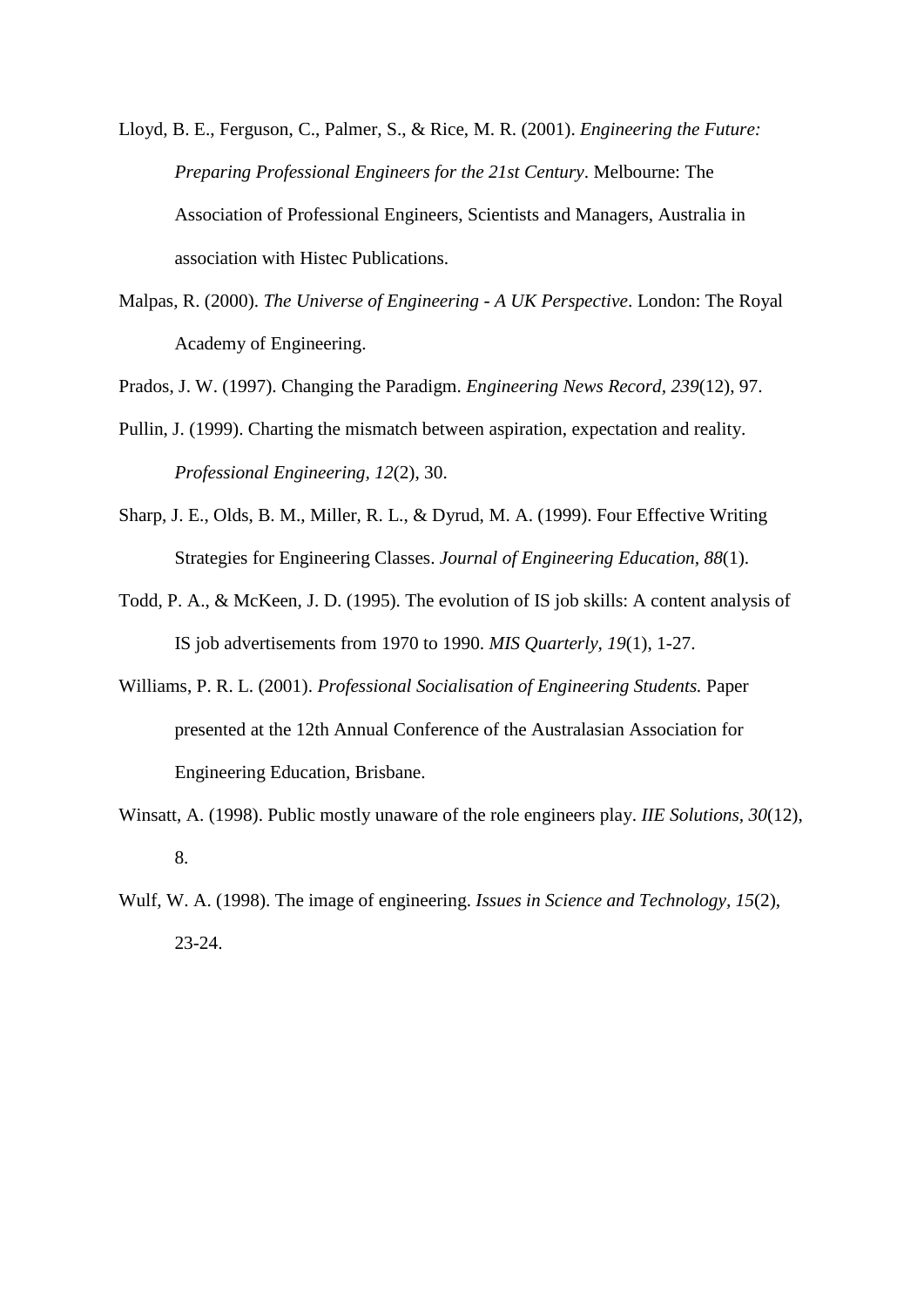- Lloyd, B. E., Ferguson, C., Palmer, S., & Rice, M. R. (2001). *Engineering the Future: Preparing Professional Engineers for the 21st Century*. Melbourne: The Association of Professional Engineers, Scientists and Managers, Australia in association with Histec Publications.
- Malpas, R. (2000). *The Universe of Engineering - A UK Perspective*. London: The Royal Academy of Engineering.

Prados, J. W. (1997). Changing the Paradigm. *Engineering News Record, 239*(12), 97.

- Pullin, J. (1999). Charting the mismatch between aspiration, expectation and reality. *Professional Engineering, 12*(2), 30.
- Sharp, J. E., Olds, B. M., Miller, R. L., & Dyrud, M. A. (1999). Four Effective Writing Strategies for Engineering Classes. *Journal of Engineering Education, 88*(1).
- Todd, P. A., & McKeen, J. D. (1995). The evolution of IS job skills: A content analysis of IS job advertisements from 1970 to 1990. *MIS Quarterly, 19*(1), 1-27.
- Williams, P. R. L. (2001). *Professional Socialisation of Engineering Students.* Paper presented at the 12th Annual Conference of the Australasian Association for Engineering Education, Brisbane.
- Winsatt, A. (1998). Public mostly unaware of the role engineers play. *IIE Solutions, 30*(12), 8.
- Wulf, W. A. (1998). The image of engineering. *Issues in Science and Technology, 15*(2), 23-24.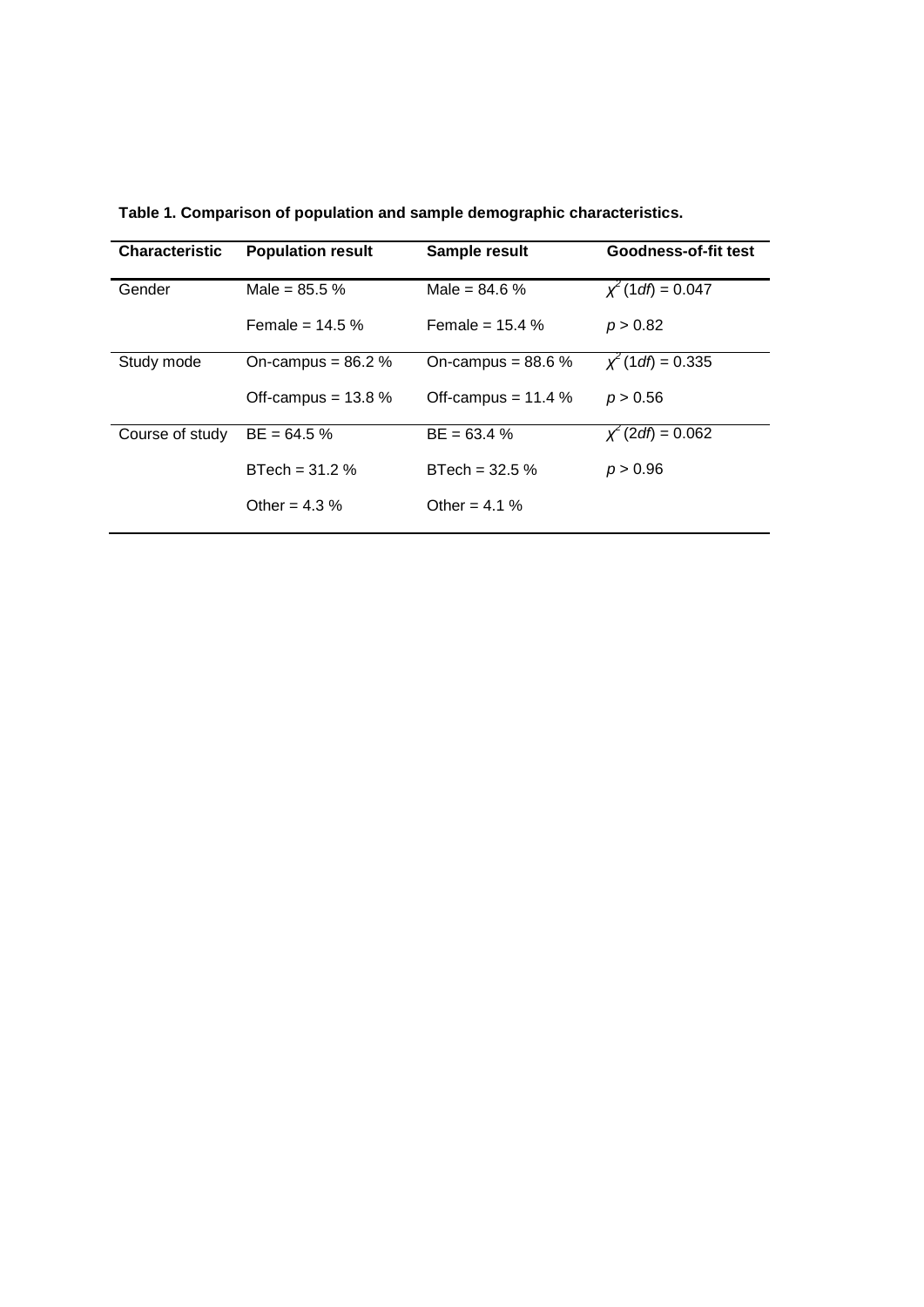| <b>Characteristic</b> | <b>Population result</b> | Sample result        | Goodness-of-fit test    |
|-----------------------|--------------------------|----------------------|-------------------------|
| Gender                | Male = $85.5\%$          | Male = $84.6\%$      | $\chi^2$ (1 df) = 0.047 |
|                       | Female = $14.5\%$        | Female = $15.4\%$    | p > 0.82                |
| Study mode            | On-campus = $86.2\%$     | On-campus = $88.6\%$ | $x^2$ (1 df) = 0.335    |
|                       | Off-campus = $13.8\%$    | Off-campus = $11.4%$ | p > 0.56                |
| Course of study       | $BE = 64.5 %$            | $BE = 63.4 %$        | $x^2$ (2df) = 0.062     |
|                       | $BTech = 31.2 %$         | $BTech = 32.5 %$     | p > 0.96                |
|                       | Other = $4.3\%$          | Other = $4.1\%$      |                         |

**Table 1. Comparison of population and sample demographic characteristics.**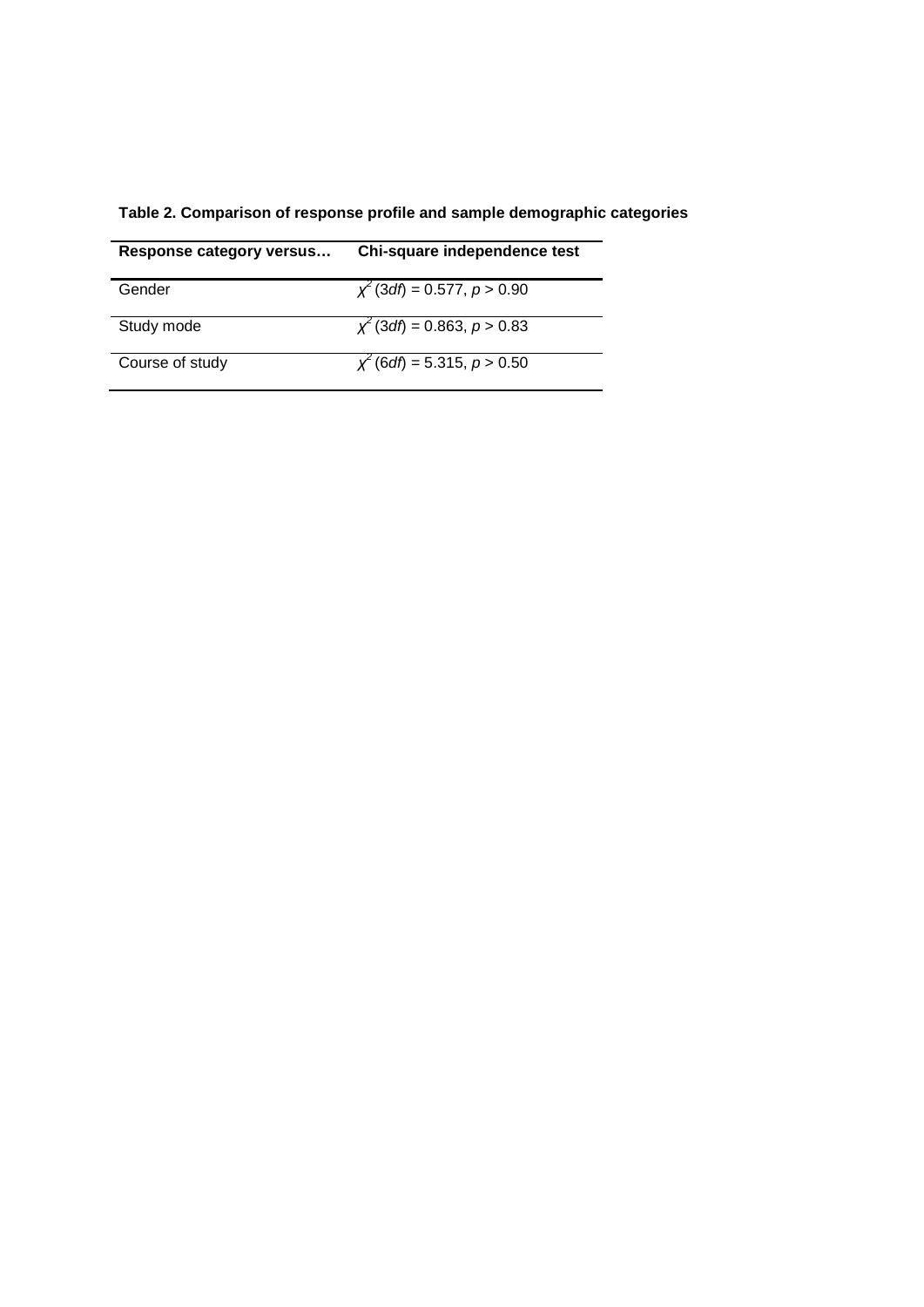|  |  | Table 2. Comparison of response profile and sample demographic categories |  |  |  |
|--|--|---------------------------------------------------------------------------|--|--|--|
|--|--|---------------------------------------------------------------------------|--|--|--|

| Response category versus | Chi-square independence test                     |
|--------------------------|--------------------------------------------------|
| Gender                   | $\chi^2$ (3 <i>df</i> ) = 0.577, <i>p</i> > 0.90 |
| Study mode               | $\chi^2$ (3df) = 0.863, p > 0.83                 |
| Course of study          | $\chi^2$ (6 <i>df</i> ) = 5.315, <i>p</i> > 0.50 |